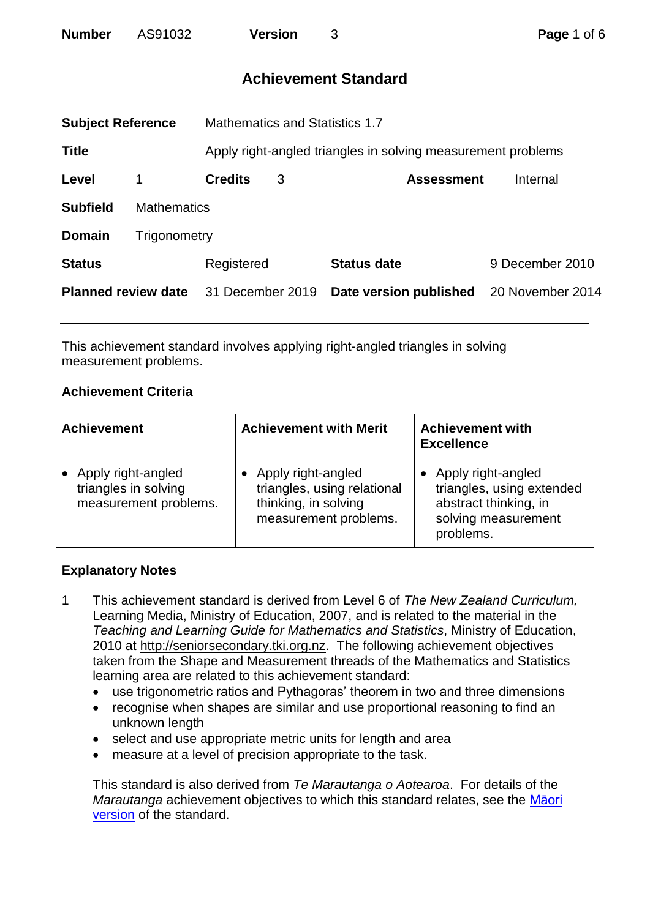<span id="page-0-0"></span>

| AS91032<br><b>Number</b><br><b>Version</b> |
|--------------------------------------------|
|--------------------------------------------|

| <b>Subject Reference</b>   |                    | <b>Mathematics and Statistics 1.7</b>                        |                                    |                        |                  |  |
|----------------------------|--------------------|--------------------------------------------------------------|------------------------------------|------------------------|------------------|--|
| <b>Title</b>               |                    | Apply right-angled triangles in solving measurement problems |                                    |                        |                  |  |
| Level                      |                    | <b>Credits</b>                                               | 3<br>Internal<br><b>Assessment</b> |                        |                  |  |
| <b>Subfield</b>            | <b>Mathematics</b> |                                                              |                                    |                        |                  |  |
| <b>Domain</b>              | Trigonometry       |                                                              |                                    |                        |                  |  |
| <b>Status</b>              |                    | Registered                                                   |                                    | <b>Status date</b>     | 9 December 2010  |  |
| <b>Planned review date</b> |                    | 31 December 2019                                             |                                    | Date version published | 20 November 2014 |  |
|                            |                    |                                                              |                                    |                        |                  |  |

This achievement standard involves applying right-angled triangles in solving measurement problems.

## **Achievement Criteria**

| <b>Achievement</b>                                                  | <b>Achievement with Merit</b>                                                                      | <b>Achievement with</b><br><b>Excellence</b>                                                                 |  |  |
|---------------------------------------------------------------------|----------------------------------------------------------------------------------------------------|--------------------------------------------------------------------------------------------------------------|--|--|
| Apply right-angled<br>triangles in solving<br>measurement problems. | Apply right-angled<br>triangles, using relational<br>thinking, in solving<br>measurement problems. | Apply right-angled<br>triangles, using extended<br>abstract thinking, in<br>solving measurement<br>problems. |  |  |

### **Explanatory Notes**

- 1 This achievement standard is derived from Level 6 of *The New Zealand Curriculum,*  Learning Media, Ministry of Education, 2007, and is related to the material in the *Teaching and Learning Guide for Mathematics and Statistics*, Ministry of Education, 2010 at [http://seniorsecondary.tki.org.nz.](http://seniorsecondary.tki.org.nz/) The following achievement objectives taken from the Shape and Measurement threads of the Mathematics and Statistics learning area are related to this achievement standard:
	- use trigonometric ratios and Pythagoras' theorem in two and three dimensions
	- recognise when shapes are similar and use proportional reasoning to find an unknown length
	- select and use appropriate metric units for length and area
	- measure at a level of precision appropriate to the task.

This standard is also derived from *Te Marautanga o Aotearoa*. For details of the *Marautanga* achievement objectives to which this standard relates, see the [Māori](#page-3-0)  [version](#page-3-0) of the standard.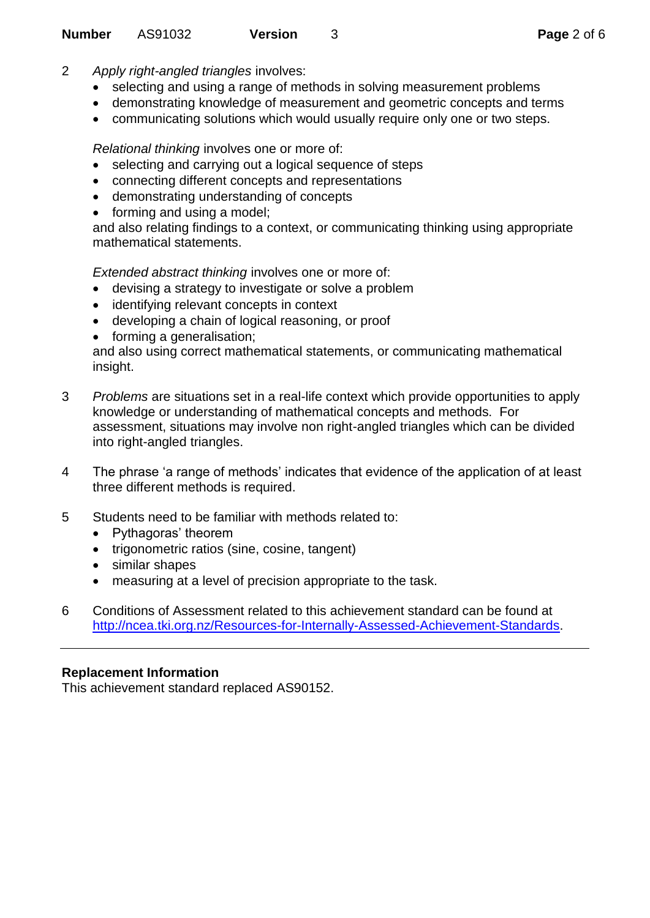- 2 *Apply right-angled triangles* involves:
	- selecting and using a range of methods in solving measurement problems
	- demonstrating knowledge of measurement and geometric concepts and terms
	- communicating solutions which would usually require only one or two steps.

*Relational thinking* involves one or more of:

- selecting and carrying out a logical sequence of steps
- connecting different concepts and representations
- demonstrating understanding of concepts
- forming and using a model;

and also relating findings to a context, or communicating thinking using appropriate mathematical statements.

*Extended abstract thinking* involves one or more of:

- devising a strategy to investigate or solve a problem
- identifying relevant concepts in context
- developing a chain of logical reasoning, or proof
- forming a generalisation;

and also using correct mathematical statements, or communicating mathematical insight.

- 3 *Problems* are situations set in a real-life context which provide opportunities to apply knowledge or understanding of mathematical concepts and methods. For assessment, situations may involve non right-angled triangles which can be divided into right-angled triangles.
- 4 The phrase 'a range of methods' indicates that evidence of the application of at least three different methods is required.
- 5 Students need to be familiar with methods related to:
	- Pythagoras' theorem
	- trigonometric ratios (sine, cosine, tangent)
	- similar shapes
	- measuring at a level of precision appropriate to the task.
- 6 Conditions of Assessment related to this achievement standard can be found at [http://ncea.tki.org.nz/Resources-for-Internally-Assessed-Achievement-Standards.](http://ncea.tki.org.nz/Resources-for-Internally-Assessed-Achievement-Standards)

### **Replacement Information**

This achievement standard replaced AS90152.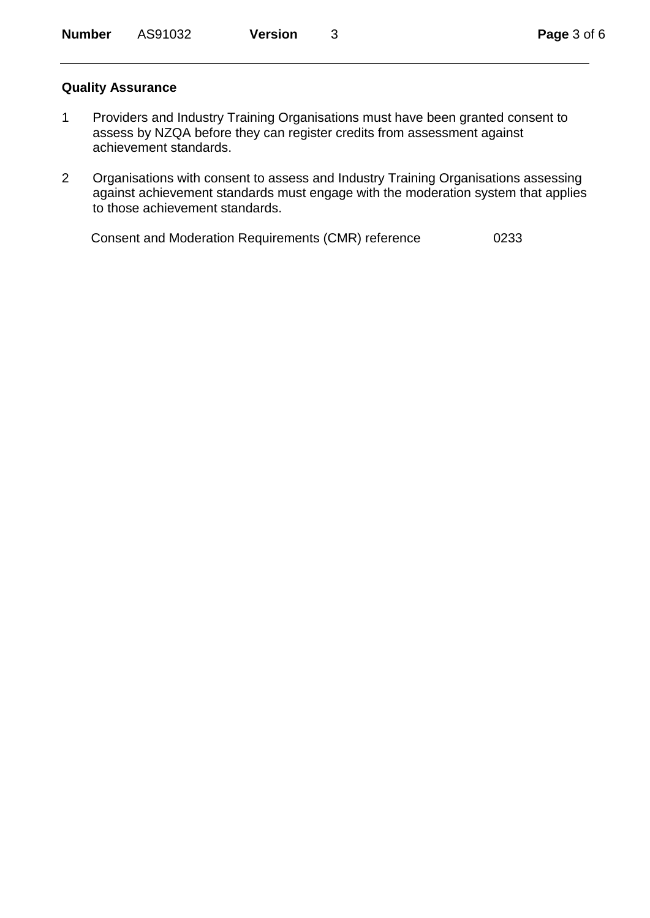#### **Quality Assurance**

- 1 Providers and Industry Training Organisations must have been granted consent to assess by NZQA before they can register credits from assessment against achievement standards.
- 2 Organisations with consent to assess and Industry Training Organisations assessing against achievement standards must engage with the moderation system that applies to those achievement standards.

Consent and Moderation Requirements (CMR) reference 0233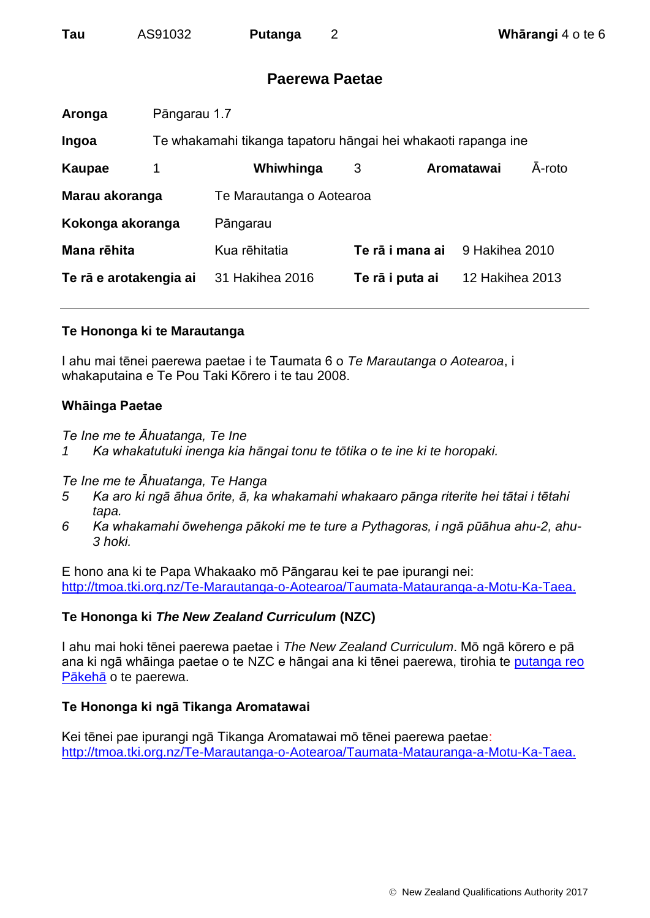<span id="page-3-0"></span>

| Tau | AS91032 | <b>Putanga</b> |
|-----|---------|----------------|
|-----|---------|----------------|

## **Paerewa Paetae**

| Aronga                 | Pāngarau 1.7 |                                                               |                 |  |                        |        |
|------------------------|--------------|---------------------------------------------------------------|-----------------|--|------------------------|--------|
| Ingoa                  |              | Te whakamahi tikanga tapatoru hāngai hei whakaoti rapanga ine |                 |  |                        |        |
| Kaupae                 | 1            | Whiwhinga                                                     | 3               |  | Aromatawai             | A-roto |
| Marau akoranga         |              | Te Marautanga o Aotearoa                                      |                 |  |                        |        |
| Kokonga akoranga       |              | Pāngarau                                                      |                 |  |                        |        |
| Mana rēhita            |              | Kua rēhitatia                                                 | Te rā i mana ai |  | 9 Hakihea 2010         |        |
| Te rā e arotakengia ai |              | 31 Hakihea 2016                                               | Te rā i puta ai |  | <b>12 Hakihea 2013</b> |        |
|                        |              |                                                               |                 |  |                        |        |

### **Te Hononga ki te Marautanga**

I ahu mai tēnei paerewa paetae i te Taumata 6 o *Te Marautanga o Aotearoa*, i whakaputaina e Te Pou Taki Kōrero i te tau 2008.

## **Whāinga Paetae**

*Te Ine me te Āhuatanga, Te Ine*

*1 Ka whakatutuki inenga kia hāngai tonu te tōtika o te ine ki te horopaki.*

### *Te Ine me te Āhuatanga, Te Hanga*

- *5 Ka aro ki ngā āhua ōrite, ā, ka whakamahi whakaaro pānga riterite hei tātai i tētahi tapa.*
- *6 Ka whakamahi ōwehenga pākoki me te ture a Pythagoras, i ngā pūāhua ahu-2, ahu-3 hoki.*

E hono ana ki te Papa Whakaako mō Pāngarau kei te pae ipurangi nei: [http://tmoa.tki.org.nz/Te-Marautanga-o-Aotearoa/Taumata-Matauranga-a-Motu-Ka-Taea.](http://tmoa.tki.org.nz/Te-Marautanga-o-Aotearoa/Taumata-Matauranga-a-Motu-Ka-Taea)

## **Te Hononga ki** *The New Zealand Curriculum* **(NZC)**

I ahu mai hoki tēnei paerewa paetae i *The New Zealand Curriculum*. Mō ngā kōrero e pā ana ki ngā whāinga paetae o te NZC e hāngai ana ki tēnei paerewa, tirohia te [putanga reo](#page-0-0)  [Pākehā](#page-0-0) o te paerewa.

## **Te Hononga ki ngā Tikanga Aromatawai**

Kei tēnei pae ipurangi ngā Tikanga Aromatawai mō tēnei paerewa paetae: [http://tmoa.tki.org.nz/Te-Marautanga-o-Aotearoa/Taumata-Matauranga-a-Motu-Ka-Taea.](http://tmoa.tki.org.nz/Te-Marautanga-o-Aotearoa/Taumata-Matauranga-a-Motu-Ka-Taea)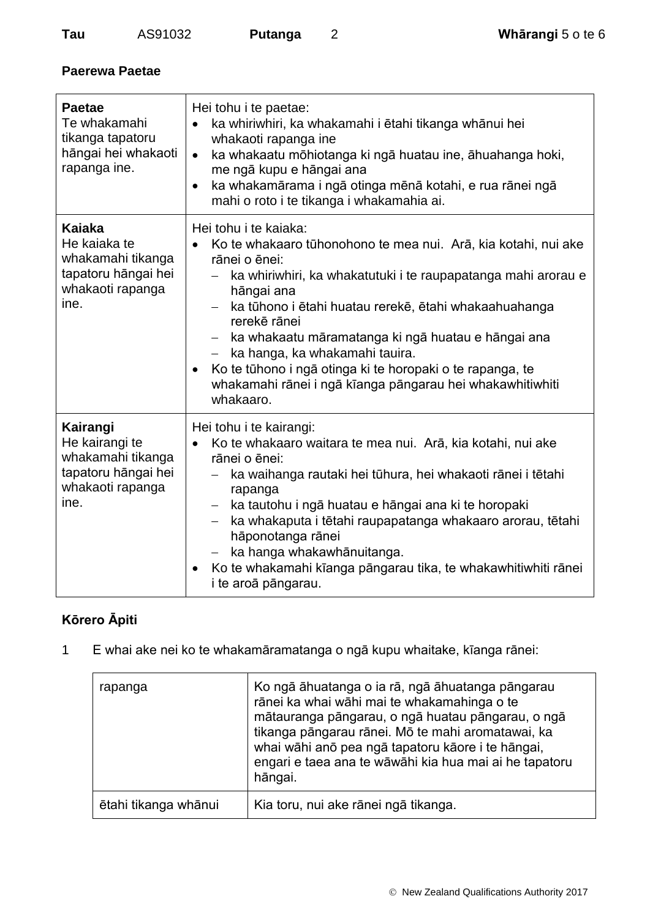## **Paerewa Paetae**

| <b>Paetae</b><br>Te whakamahi<br>tikanga tapatoru<br>hāngai hei whakaoti<br>rapanga ine.           | Hei tohu i te paetae:<br>ka whiriwhiri, ka whakamahi i etahi tikanga whānui hei<br>$\bullet$<br>whakaoti rapanga ine<br>ka whakaatu mōhiotanga ki ngā huatau ine, āhuahanga hoki,<br>$\bullet$<br>me ngā kupu e hāngai ana<br>ka whakamārama i ngā otinga mēnā kotahi, e rua rānei ngā<br>$\bullet$<br>mahi o roto i te tikanga i whakamahia ai.                                                                                                                                                         |
|----------------------------------------------------------------------------------------------------|----------------------------------------------------------------------------------------------------------------------------------------------------------------------------------------------------------------------------------------------------------------------------------------------------------------------------------------------------------------------------------------------------------------------------------------------------------------------------------------------------------|
| Kaiaka<br>He kaiaka te<br>whakamahi tikanga<br>tapatoru hāngai hei<br>whakaoti rapanga<br>ine.     | Hei tohu i te kajaka:<br>Ko te whakaaro tūhonohono te mea nui. Arā, kia kotahi, nui ake<br>rānei o ēnei:<br>ka whiriwhiri, ka whakatutuki i te raupapatanga mahi arorau e<br>hāngai ana<br>ka tūhono i ētahi huatau rerekē, ētahi whakaahuahanga<br>rerekē rānei<br>ka whakaatu māramatanga ki ngā huatau e hāngai ana<br>$ \,$<br>ka hanga, ka whakamahi tauira.<br>Ko te tūhono i ngā otinga ki te horopaki o te rapanga, te<br>whakamahi rānei i ngā kīanga pāngarau hei whakawhitiwhiti<br>whakaaro. |
| Kairangi<br>He kairangi te<br>whakamahi tikanga<br>tapatoru hāngai hei<br>whakaoti rapanga<br>ine. | Hei tohu i te kairangi:<br>Ko te whakaaro waitara te mea nui. Arā, kia kotahi, nui ake<br>rānei o ēnei:<br>ka waihanga rautaki hei tūhura, hei whakaoti rānei i tētahi<br>rapanga<br>ka tautohu i ngā huatau e hāngai ana ki te horopaki<br>$\overline{\phantom{m}}$<br>ka whakaputa i tētahi raupapatanga whakaaro arorau, tētahi<br>hāponotanga rānei<br>ka hanga whakawhānuitanga.<br>Ko te whakamahi kīanga pāngarau tika, te whakawhitiwhiti rānei<br>i te aroā pāngarau.                           |

# **Kōrero Āpiti**

1 E whai ake nei ko te whakamāramatanga o ngā kupu whaitake, kīanga rānei:

| rapanga              | Ko ngā āhuatanga o ia rā, ngā āhuatanga pāngarau<br>rānei ka whai wāhi mai te whakamahinga o te<br>mātauranga pāngarau, o ngā huatau pāngarau, o ngā<br>tikanga pāngarau rānei. Mō te mahi aromatawai, ka<br>whai wāhi anō pea ngā tapatoru kāore i te hāngai,<br>engari e taea ana te wāwāhi kia hua mai ai he tapatoru<br>hāngai. |
|----------------------|-------------------------------------------------------------------------------------------------------------------------------------------------------------------------------------------------------------------------------------------------------------------------------------------------------------------------------------|
| ētahi tikanga whānui | Kia toru, nui ake rānei ngā tikanga.                                                                                                                                                                                                                                                                                                |